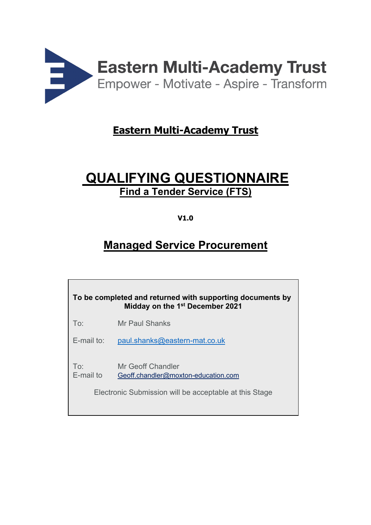

# **Eastern Multi-Academy Trust**

# **QUALIFYING QUESTIONNAIRE Find a Tender Service (FTS)**

# **V1.0**

# **Managed Service Procurement**

| To be completed and returned with supporting documents by<br>Midday on the 1st December 2021 |                                                                                                                    |  |
|----------------------------------------------------------------------------------------------|--------------------------------------------------------------------------------------------------------------------|--|
| To:                                                                                          | Mr Paul Shanks                                                                                                     |  |
| $E$ -mail to:                                                                                | paul.shanks@eastern-mat.co.uk                                                                                      |  |
| To:<br>E-mail to                                                                             | Mr Geoff Chandler<br>Geoff.chandler@moxton-education.com<br>Electronic Submission will be acceptable at this Stage |  |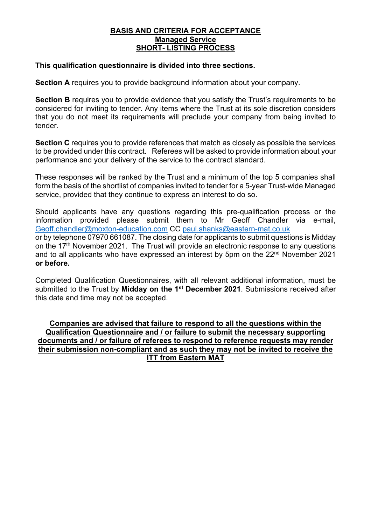#### **BASIS AND CRITERIA FOR ACCEPTANCE Managed Service SHORT- LISTING PROCESS**

#### **This qualification questionnaire is divided into three sections.**

**Section A** requires you to provide background information about your company.

**Section B** requires you to provide evidence that you satisfy the Trust's requirements to be considered for inviting to tender. Any items where the Trust at its sole discretion considers that you do not meet its requirements will preclude your company from being invited to tender.

**Section C** requires you to provide references that match as closely as possible the services to be provided under this contract. Referees will be asked to provide information about your performance and your delivery of the service to the contract standard.

These responses will be ranked by the Trust and a minimum of the top 5 companies shall form the basis of the shortlist of companies invited to tender for a 5-year Trust-wide Managed service, provided that they continue to express an interest to do so.

Should applicants have any questions regarding this pre-qualification process or the information provided please submit them to Mr Geoff Chandler via e-mail, Geoff.chandler@moxton-education.com CC paul.shanks@eastern-mat.co.uk or by telephone 07970 661087. The closing date for applicants to submit questions is Midday on the 17<sup>th</sup> November 2021. The Trust will provide an electronic response to any questions and to all applicants who have expressed an interest by 5pm on the 22<sup>nd</sup> November 2021 **or before.**

Completed Qualification Questionnaires, with all relevant additional information, must be submitted to the Trust by **Midday on the 1st December 2021**. Submissions received after this date and time may not be accepted.

**Companies are advised that failure to respond to all the questions within the Qualification Questionnaire and / or failure to submit the necessary supporting documents and / or failure of referees to respond to reference requests may render their submission non-compliant and as such they may not be invited to receive the ITT from Eastern MAT**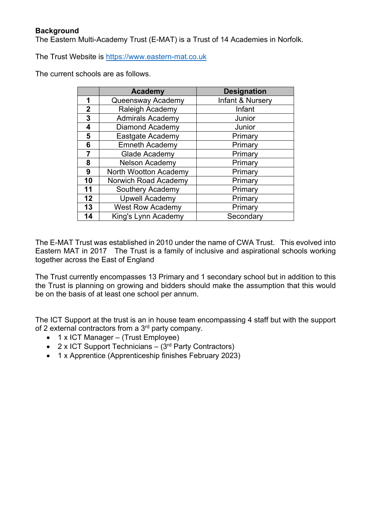The Eastern Multi-Academy Trust (E-MAT) is a Trust of 14 Academies in Norfolk.

The Trust Website is https://www.eastern-mat.co.uk

The current schools are as follows.

|    | <b>Academy</b>               | <b>Designation</b> |
|----|------------------------------|--------------------|
| 1  | Queensway Academy            | Infant & Nursery   |
| 2  | <b>Raleigh Academy</b>       | Infant             |
| 3  | <b>Admirals Academy</b>      | Junior             |
| 4  | Diamond Academy              | Junior             |
| 5  | Eastgate Academy             | Primary            |
| 6  | <b>Emneth Academy</b>        | Primary            |
| 7  | Glade Academy                | Primary            |
| 8  | <b>Nelson Academy</b>        | Primary            |
| 9  | <b>North Wootton Academy</b> | Primary            |
| 10 | Norwich Road Academy         | Primary            |
| 11 | <b>Southery Academy</b>      | Primary            |
| 12 | <b>Upwell Academy</b>        | Primary            |
| 13 | <b>West Row Academy</b>      | Primary            |
| 14 | King's Lynn Academy          | Secondary          |

The E-MAT Trust was established in 2010 under the name of CWA Trust. This evolved into Eastern MAT in 2017 The Trust is a family of inclusive and aspirational schools working together across the East of England

The Trust currently encompasses 13 Primary and 1 secondary school but in addition to this the Trust is planning on growing and bidders should make the assumption that this would be on the basis of at least one school per annum.

The ICT Support at the trust is an in house team encompassing 4 staff but with the support of 2 external contractors from a 3<sup>rd</sup> party company.

- 1 x ICT Manager (Trust Employee)
- 2 x ICT Support Technicians  $-$  (3<sup>rd</sup> Party Contractors)
- 1 x Apprentice (Apprenticeship finishes February 2023)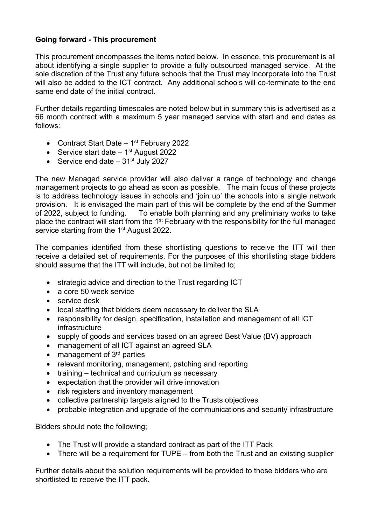## **Going forward - This procurement**

This procurement encompasses the items noted below. In essence, this procurement is all about identifying a single supplier to provide a fully outsourced managed service. At the sole discretion of the Trust any future schools that the Trust may incorporate into the Trust will also be added to the ICT contract. Any additional schools will co-terminate to the end same end date of the initial contract.

Further details regarding timescales are noted below but in summary this is advertised as a 66 month contract with a maximum 5 year managed service with start and end dates as follows:

- Contract Start Date  $-1<sup>st</sup>$  February 2022
- Service start date  $-1$ <sup>st</sup> August 2022
- Service end date  $-31$ <sup>st</sup> July 2027

The new Managed service provider will also deliver a range of technology and change management projects to go ahead as soon as possible. The main focus of these projects is to address technology issues in schools and 'join up' the schools into a single network provision. It is envisaged the main part of this will be complete by the end of the Summer of 2022, subject to funding. To enable both planning and any preliminary works to take place the contract will start from the 1<sup>st</sup> February with the responsibility for the full managed service starting from the 1<sup>st</sup> August 2022.

The companies identified from these shortlisting questions to receive the ITT will then receive a detailed set of requirements. For the purposes of this shortlisting stage bidders should assume that the ITT will include, but not be limited to;

- strategic advice and direction to the Trust regarding ICT
- a core 50 week service
- service desk
- local staffing that bidders deem necessary to deliver the SLA
- responsibility for design, specification, installation and management of all ICT infrastructure
- supply of goods and services based on an agreed Best Value (BV) approach
- management of all ICT against an agreed SLA
- management of  $3<sup>rd</sup>$  parties
- relevant monitoring, management, patching and reporting
- training technical and curriculum as necessary
- expectation that the provider will drive innovation
- risk registers and inventory management
- collective partnership targets aligned to the Trusts objectives
- probable integration and upgrade of the communications and security infrastructure

Bidders should note the following;

- The Trust will provide a standard contract as part of the ITT Pack
- There will be a requirement for TUPE from both the Trust and an existing supplier

Further details about the solution requirements will be provided to those bidders who are shortlisted to receive the ITT pack.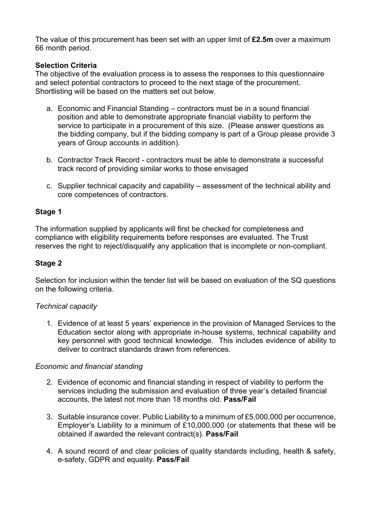The value of this procurement has been set with an upper limit of **£2.5m** over a maximum 66 month period.

### **Selection Criteria**

The objective of the evaluation process is to assess the responses to this questionnaire and select potential contractors to proceed to the next stage of the procurement. Shortlisting will be based on the matters set out below.

- a. Economic and Financial Standing contractors must be in a sound financial position and able to demonstrate appropriate financial viability to perform the service to participate in a procurement of this size. (Please answer questions as the bidding company, but if the bidding company is part of a Group please provide 3 years of Group accounts in addition).
- b. Contractor Track Record contractors must be able to demonstrate a successful track record of providing similar works to those envisaged
- c. Supplier technical capacity and capability assessment of the technical ability and core competences of contractors.

#### **Stage 1**

The information supplied by applicants will first be checked for completeness and compliance with eligibility requirements before responses are evaluated. The Trust reserves the right to reject/disqualify any application that is incomplete or non-compliant.

#### **Stage 2**

Selection for inclusion within the tender list will be based on evaluation of the SQ questions on the following criteria.

#### *Technical capacity*

1. Evidence of at least 5 years' experience in the provision of Managed Services to the Education sector along with appropriate in-house systems, technical capability and key personnel with good technical knowledge. This includes evidence of ability to deliver to contract standards drawn from references.

#### *Economic and financial standing*

- 2. Evidence of economic and financial standing in respect of viability to perform the services including the submission and evaluation of three year's detailed financial accounts, the latest not more than 18 months old. **Pass/Fail**
- 3. Suitable insurance cover. Public Liability to a minimum of £5,000,000 per occurrence, Employer's Liability to a minimum of £10,000,000 (or statements that these will be obtained if awarded the relevant contract(s). **Pass/Fail**
- 4. A sound record of and clear policies of quality standards including, health & safety, e-safety, GDPR and equality. **Pass/Fail**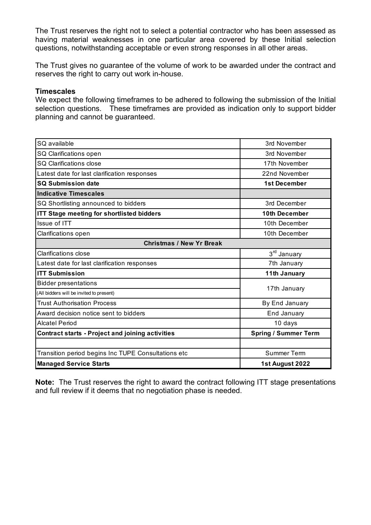The Trust reserves the right not to select a potential contractor who has been assessed as having material weaknesses in one particular area covered by these Initial selection questions, notwithstanding acceptable or even strong responses in all other areas.

The Trust gives no guarantee of the volume of work to be awarded under the contract and reserves the right to carry out work in-house.

#### **Timescales**

We expect the following timeframes to be adhered to following the submission of the Initial selection questions. These timeframes are provided as indication only to support bidder planning and cannot be guaranteed.

| SQ available                                            | 3rd November                |
|---------------------------------------------------------|-----------------------------|
| SQ Clarifications open                                  | 3rd November                |
| <b>SQ Clarifications close</b>                          | 17th November               |
| Latest date for last clarification responses            | 22nd November               |
| <b>SQ Submission date</b>                               | <b>1st December</b>         |
| <b>Indicative Timescales</b>                            |                             |
| SQ Shortlisting announced to bidders                    | 3rd December                |
| <b>ITT Stage meeting for shortlisted bidders</b>        | 10th December               |
| Issue of ITT                                            | 10th December               |
| Clarifications open                                     | 10th December               |
| <b>Christmas / New Yr Break</b>                         |                             |
| <b>Clarifications close</b>                             | 3 <sup>rd</sup> January     |
| Latest date for last clarification responses            | 7th January                 |
| <b>ITT Submission</b>                                   | <b>11th January</b>         |
| <b>Bidder presentations</b>                             |                             |
| (All bidders will be invited to present)                | 17th January                |
| <b>Trust Authorisation Process</b>                      | By End January              |
| Award decision notice sent to bidders                   | End January                 |
| <b>Alcatel Period</b>                                   | 10 days                     |
| <b>Contract starts - Project and joining activities</b> | <b>Spring / Summer Term</b> |
|                                                         |                             |
| Transition period begins Inc TUPE Consultations etc     | Summer Term                 |
| <b>Managed Service Starts</b>                           | 1st August 2022             |

**Note:** The Trust reserves the right to award the contract following ITT stage presentations and full review if it deems that no negotiation phase is needed.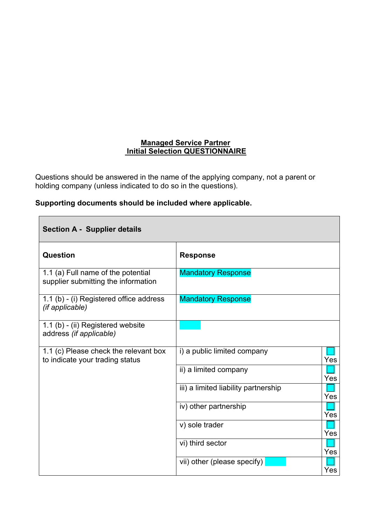### **Managed Service Partner Initial Selection QUESTIONNAIRE**

Questions should be answered in the name of the applying company, not a parent or holding company (unless indicated to do so in the questions).

|  | Supporting documents should be included where applicable. |  |  |  |  |
|--|-----------------------------------------------------------|--|--|--|--|
|--|-----------------------------------------------------------|--|--|--|--|

 $\Box$ 

| <b>Section A - Supplier details</b>                                       |                                      |     |
|---------------------------------------------------------------------------|--------------------------------------|-----|
| <b>Question</b>                                                           | <b>Response</b>                      |     |
| 1.1 (a) Full name of the potential<br>supplier submitting the information | <b>Mandatory Response</b>            |     |
| 1.1 (b) - (i) Registered office address<br>(if applicable)                | <b>Mandatory Response</b>            |     |
| 1.1 (b) - (ii) Registered website<br>address (if applicable)              |                                      |     |
| 1.1 (c) Please check the relevant box<br>to indicate your trading status  | i) a public limited company          | Yes |
|                                                                           | ii) a limited company                | Yes |
|                                                                           | iii) a limited liability partnership | Yes |
|                                                                           | iv) other partnership                | Yes |
|                                                                           | v) sole trader                       | Yes |
|                                                                           | vi) third sector                     | Yes |
|                                                                           | vii) other (please specify)          | Yes |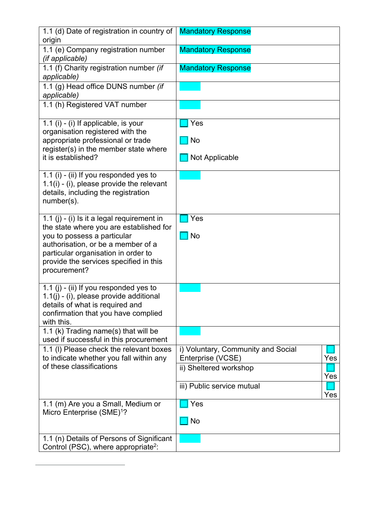| 1.1 (d) Date of registration in country of<br>origin                                  | <b>Mandatory Response</b>                                      |
|---------------------------------------------------------------------------------------|----------------------------------------------------------------|
| 1.1 (e) Company registration number<br>(if applicable)                                | <b>Mandatory Response</b>                                      |
| 1.1 (f) Charity registration number (if<br>applicable)                                | <b>Mandatory Response</b>                                      |
| 1.1 (g) Head office DUNS number (if<br>applicable)                                    |                                                                |
| 1.1 (h) Registered VAT number                                                         |                                                                |
| 1.1 (i) - (i) If applicable, is your<br>organisation registered with the              | Yes                                                            |
| appropriate professional or trade<br>register(s) in the member state where            | No                                                             |
| it is established?                                                                    | Not Applicable                                                 |
| 1.1 (i) - (ii) If you responded yes to<br>$1.1(i)$ - (i), please provide the relevant |                                                                |
| details, including the registration<br>number(s).                                     |                                                                |
| 1.1 (j) - (i) Is it a legal requirement in                                            | Yes                                                            |
| the state where you are established for<br>you to possess a particular                | <b>No</b>                                                      |
| authorisation, or be a member of a<br>particular organisation in order to             |                                                                |
| provide the services specified in this<br>procurement?                                |                                                                |
| 1.1 (j) - (ii) If you responded yes to<br>1.1(j) - (i), please provide additional     |                                                                |
| details of what is required and<br>confirmation that you have complied                |                                                                |
| with this.                                                                            |                                                                |
| 1.1 (k) Trading name(s) that will be<br>used if successful in this procurement        |                                                                |
| 1.1 (I) Please check the relevant boxes<br>to indicate whether you fall within any    | i) Voluntary, Community and Social<br>Enterprise (VCSE)<br>Yes |
| of these classifications                                                              | ii) Sheltered workshop<br>Yes                                  |
|                                                                                       | iii) Public service mutual<br>Yes                              |
| 1.1 (m) Are you a Small, Medium or<br>Micro Enterprise (SME) <sup>1</sup> ?           | Yes                                                            |
|                                                                                       | <b>No</b>                                                      |
| 1.1 (n) Details of Persons of Significant                                             |                                                                |
| Control (PSC), where appropriate <sup>2</sup> :                                       |                                                                |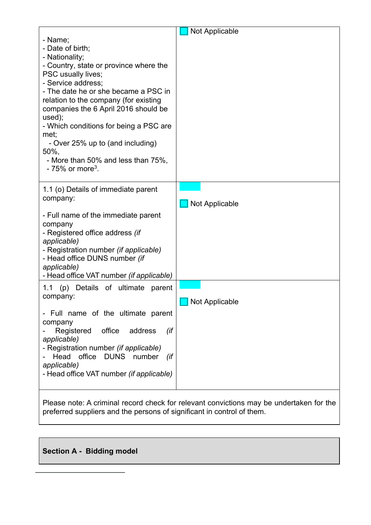|                                                    | Not Applicable                                                                          |
|----------------------------------------------------|-----------------------------------------------------------------------------------------|
| - Name;                                            |                                                                                         |
| - Date of birth:                                   |                                                                                         |
| - Nationality;                                     |                                                                                         |
| - Country, state or province where the             |                                                                                         |
| PSC usually lives;                                 |                                                                                         |
| - Service address;                                 |                                                                                         |
| - The date he or she became a PSC in               |                                                                                         |
| relation to the company (for existing              |                                                                                         |
| companies the 6 April 2016 should be<br>used);     |                                                                                         |
| - Which conditions for being a PSC are             |                                                                                         |
| met;                                               |                                                                                         |
| - Over 25% up to (and including)                   |                                                                                         |
| 50%,                                               |                                                                                         |
| - More than 50% and less than 75%,                 |                                                                                         |
| $-75\%$ or more <sup>3</sup> .                     |                                                                                         |
|                                                    |                                                                                         |
| 1.1 (o) Details of immediate parent                |                                                                                         |
| company:                                           | <b>Not Applicable</b>                                                                   |
| - Full name of the immediate parent                |                                                                                         |
| company                                            |                                                                                         |
| - Registered office address (if                    |                                                                                         |
| applicable)                                        |                                                                                         |
| - Registration number (if applicable)              |                                                                                         |
| - Head office DUNS number (if                      |                                                                                         |
| applicable)                                        |                                                                                         |
| - Head office VAT number (if applicable)           |                                                                                         |
| (p) Details of ultimate<br>1.1<br>parent           |                                                                                         |
| company:                                           | Not Applicable                                                                          |
|                                                    |                                                                                         |
| - Full name of the ultimate parent                 |                                                                                         |
| company                                            |                                                                                         |
| Registered office<br>(if<br>address<br>applicable) |                                                                                         |
| - Registration number (if applicable)              |                                                                                         |
| Head office DUNS number<br>(if                     |                                                                                         |
| applicable)                                        |                                                                                         |
| - Head office VAT number (if applicable)           |                                                                                         |
|                                                    |                                                                                         |
|                                                    |                                                                                         |
|                                                    | Plasse note: A criminal record check for relevant convictions may be undertaken for the |

Please note: A criminal record check for relevant convictions may be undertaken for the preferred suppliers and the persons of significant in control of them.

# **Section A - Bidding model**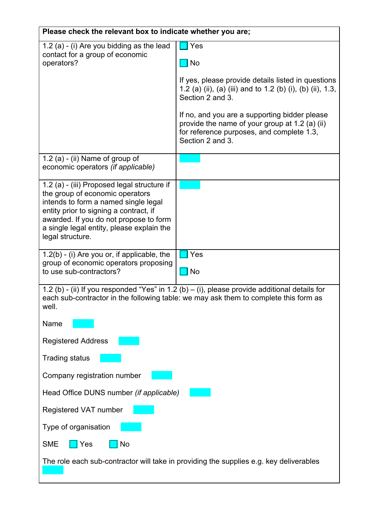| Please check the relevant box to indicate whether you are;                                                                                                                                                                                                                  |                                                                                                                                                                                       |  |  |
|-----------------------------------------------------------------------------------------------------------------------------------------------------------------------------------------------------------------------------------------------------------------------------|---------------------------------------------------------------------------------------------------------------------------------------------------------------------------------------|--|--|
| 1.2 (a) - (i) Are you bidding as the lead<br>contact for a group of economic<br>operators?                                                                                                                                                                                  | Yes<br><b>No</b>                                                                                                                                                                      |  |  |
|                                                                                                                                                                                                                                                                             | If yes, please provide details listed in questions<br>1.2 (a) (ii), (a) (iii) and to 1.2 (b) (i), (b) (ii), 1.3,<br>Section 2 and 3.                                                  |  |  |
|                                                                                                                                                                                                                                                                             | If no, and you are a supporting bidder please<br>provide the name of your group at 1.2 (a) (ii)<br>for reference purposes, and complete 1.3,<br>Section 2 and 3.                      |  |  |
| 1.2 (a) - (ii) Name of group of<br>economic operators (if applicable)                                                                                                                                                                                                       |                                                                                                                                                                                       |  |  |
| 1.2 (a) - (iii) Proposed legal structure if<br>the group of economic operators<br>intends to form a named single legal<br>entity prior to signing a contract, if<br>awarded. If you do not propose to form<br>a single legal entity, please explain the<br>legal structure. |                                                                                                                                                                                       |  |  |
| $1.2(b)$ - (i) Are you or, if applicable, the<br>group of economic operators proposing<br>to use sub-contractors?                                                                                                                                                           | Yes<br>No                                                                                                                                                                             |  |  |
| well.                                                                                                                                                                                                                                                                       | 1.2 (b) - (ii) If you responded "Yes" in 1.2 (b) – (i), please provide additional details for<br>each sub-contractor in the following table: we may ask them to complete this form as |  |  |
| Name                                                                                                                                                                                                                                                                        |                                                                                                                                                                                       |  |  |
| <b>Registered Address</b>                                                                                                                                                                                                                                                   |                                                                                                                                                                                       |  |  |
| <b>Trading status</b>                                                                                                                                                                                                                                                       |                                                                                                                                                                                       |  |  |
| Company registration number                                                                                                                                                                                                                                                 |                                                                                                                                                                                       |  |  |
| Head Office DUNS number (if applicable)                                                                                                                                                                                                                                     |                                                                                                                                                                                       |  |  |
| Registered VAT number                                                                                                                                                                                                                                                       |                                                                                                                                                                                       |  |  |
| Type of organisation                                                                                                                                                                                                                                                        |                                                                                                                                                                                       |  |  |
| <b>SME</b><br>Yes<br>No                                                                                                                                                                                                                                                     |                                                                                                                                                                                       |  |  |
|                                                                                                                                                                                                                                                                             | The role each sub-contractor will take in providing the supplies e.g. key deliverables                                                                                                |  |  |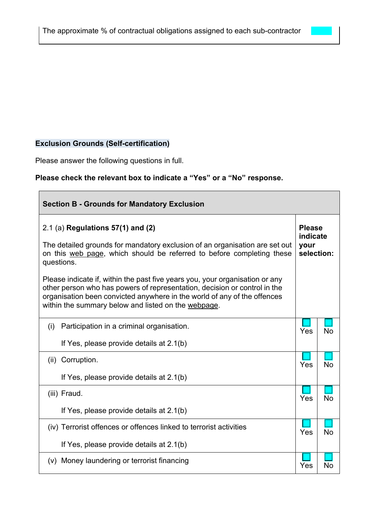# **Exclusion Grounds (Self-certification)**

Please answer the following questions in full.

# **Please check the relevant box to indicate a "Yes" or a "No" response.**

| <b>Section B - Grounds for Mandatory Exclusion</b>                                                                                                                                                                                                                                           |     |                                                 |  |
|----------------------------------------------------------------------------------------------------------------------------------------------------------------------------------------------------------------------------------------------------------------------------------------------|-----|-------------------------------------------------|--|
| $2.1$ (a) Regulations 57(1) and (2)<br>The detailed grounds for mandatory exclusion of an organisation are set out<br>on this web page, which should be referred to before completing these<br>questions.                                                                                    |     | <b>Please</b><br>indicate<br>your<br>selection: |  |
| Please indicate if, within the past five years you, your organisation or any<br>other person who has powers of representation, decision or control in the<br>organisation been convicted anywhere in the world of any of the offences<br>within the summary below and listed on the webpage. |     |                                                 |  |
| Participation in a criminal organisation.<br>(i)<br>If Yes, please provide details at 2.1(b)                                                                                                                                                                                                 | Yes | <b>No</b>                                       |  |
| (ii) Corruption.<br>If Yes, please provide details at 2.1(b)                                                                                                                                                                                                                                 | Yes | <b>No</b>                                       |  |
| (iii) Fraud.<br>If Yes, please provide details at 2.1(b)                                                                                                                                                                                                                                     | Yes | <b>No</b>                                       |  |
| (iv) Terrorist offences or offences linked to terrorist activities<br>If Yes, please provide details at 2.1(b)                                                                                                                                                                               | Yes | <b>No</b>                                       |  |
| (v) Money laundering or terrorist financing                                                                                                                                                                                                                                                  | Yes | No                                              |  |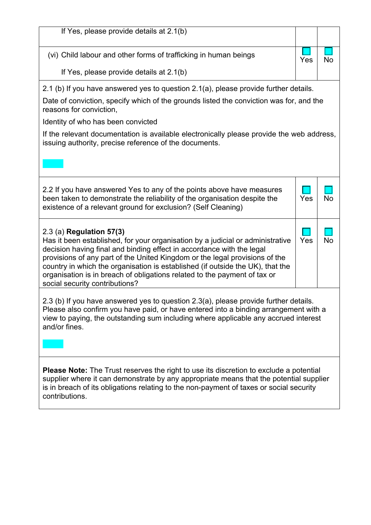| If Yes, please provide details at 2.1(b)                                                                                                                                                                                                                                                                                                                                                                                                                            |     |           |
|---------------------------------------------------------------------------------------------------------------------------------------------------------------------------------------------------------------------------------------------------------------------------------------------------------------------------------------------------------------------------------------------------------------------------------------------------------------------|-----|-----------|
| (vi) Child labour and other forms of trafficking in human beings                                                                                                                                                                                                                                                                                                                                                                                                    | Yes | <b>No</b> |
| If Yes, please provide details at 2.1(b)                                                                                                                                                                                                                                                                                                                                                                                                                            |     |           |
| 2.1 (b) If you have answered yes to question 2.1(a), please provide further details.                                                                                                                                                                                                                                                                                                                                                                                |     |           |
| Date of conviction, specify which of the grounds listed the conviction was for, and the<br>reasons for conviction,                                                                                                                                                                                                                                                                                                                                                  |     |           |
| Identity of who has been convicted                                                                                                                                                                                                                                                                                                                                                                                                                                  |     |           |
| If the relevant documentation is available electronically please provide the web address,<br>issuing authority, precise reference of the documents.                                                                                                                                                                                                                                                                                                                 |     |           |
|                                                                                                                                                                                                                                                                                                                                                                                                                                                                     |     |           |
| 2.2 If you have answered Yes to any of the points above have measures<br>been taken to demonstrate the reliability of the organisation despite the<br>existence of a relevant ground for exclusion? (Self Cleaning)                                                                                                                                                                                                                                                 | Yes | <b>No</b> |
| 2.3 (a) Regulation 57(3)<br>Has it been established, for your organisation by a judicial or administrative<br>decision having final and binding effect in accordance with the legal<br>provisions of any part of the United Kingdom or the legal provisions of the<br>country in which the organisation is established (if outside the UK), that the<br>organisation is in breach of obligations related to the payment of tax or<br>social security contributions? | Yes | <b>No</b> |
| 2.3 (b) If you have answered yes to question 2.3(a), please provide further details.<br>Please also confirm you have paid, or have entered into a binding arrangement with a<br>view to paying, the outstanding sum including where applicable any accrued interest<br>and/or fines.                                                                                                                                                                                |     |           |
| <b>Please Note:</b> The Trust reserves the right to use its discretion to exclude a potential<br>supplier where it can demonstrate by any appropriate means that the potential supplier<br>is in breach of its obligations relating to the non-payment of taxes or social security<br>contributions.                                                                                                                                                                |     |           |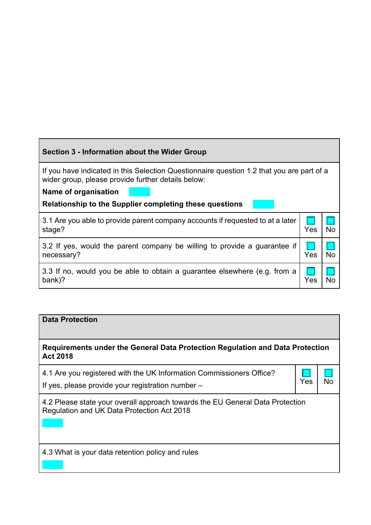## **Section 3 - Information about the Wider Group**

If you have indicated in this Selection Questionnaire question 1.2 that you are part of a wider group, please provide further details below:

**Name of organisation** 

**Relationship to the Supplier completing these questions** 

| 3.1 Are you able to provide parent company accounts if requested to at a later  <br>stage? | Yes | $\overline{No}$ |
|--------------------------------------------------------------------------------------------|-----|-----------------|
| 3.2 If yes, would the parent company be willing to provide a guarantee if<br>necessary?    | Yes | $\overline{No}$ |
| 3.3 If no, would you be able to obtain a guarantee elsewhere (e.g. from a<br>bank)?        | Yes |                 |

### **Data Protection**

**Requirements under the General Data Protection Regulation and Data Protection Act 2018**

4.1 Are you registered with the UK Information Commissioners Office? If yes, please provide your registration number –  $\left\{ Yes \mid No \right\}$ 



4.2 Please state your overall approach towards the EU General Data Protection Regulation and UK Data Protection Act 2018

4.3 What is your data retention policy and rules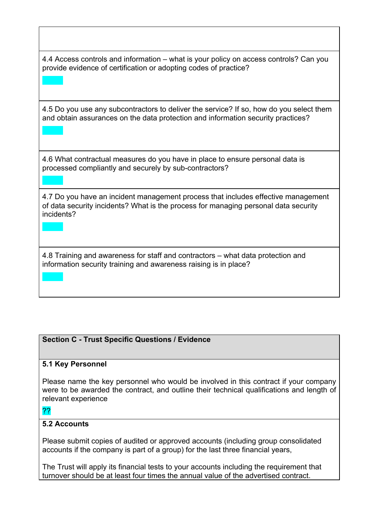4.4 Access controls and information – what is your policy on access controls? Can you provide evidence of certification or adopting codes of practice?

4.5 Do you use any subcontractors to deliver the service? If so, how do you select them and obtain assurances on the data protection and information security practices?

4.6 What contractual measures do you have in place to ensure personal data is processed compliantly and securely by sub-contractors?

4.7 Do you have an incident management process that includes effective management of data security incidents? What is the process for managing personal data security incidents?

4.8 Training and awareness for staff and contractors – what data protection and information security training and awareness raising is in place?

## **Section C - Trust Specific Questions / Evidence**

## **5.1 Key Personnel**

Please name the key personnel who would be involved in this contract if your company were to be awarded the contract, and outline their technical qualifications and length of relevant experience

#### ??

## **5.2 Accounts**

Please submit copies of audited or approved accounts (including group consolidated accounts if the company is part of a group) for the last three financial years,

The Trust will apply its financial tests to your accounts including the requirement that turnover should be at least four times the annual value of the advertised contract.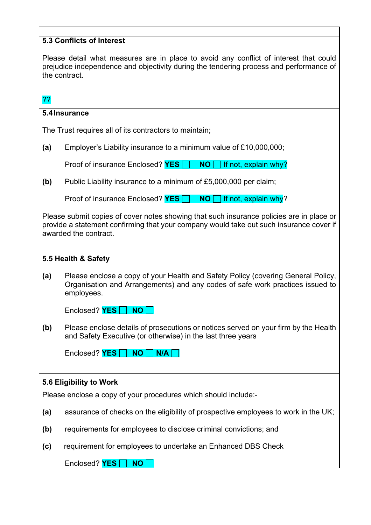## **5.3 Conflicts of Interest**

Please detail what measures are in place to avoid any conflict of interest that could prejudice independence and objectivity during the tendering process and performance of the contract.

??

### **5.4Insurance**

The Trust requires all of its contractors to maintain;

**(a)** Employer's Liability insurance to a minimum value of £10,000,000;

Proof of insurance Enclosed? **YES NO If not, explain why?** 

**(b)** Public Liability insurance to a minimum of £5,000,000 per claim;

Proof of insurance Enclosed? **YES NO I** If not, explain why?

Please submit copies of cover notes showing that such insurance policies are in place or provide a statement confirming that your company would take out such insurance cover if awarded the contract.

#### **5.5 Health & Safety**

**(a)** Please enclose a copy of your Health and Safety Policy (covering General Policy, Organisation and Arrangements) and any codes of safe work practices issued to employees.

|  | Enclosed? <b>YES</b> NO |  |
|--|-------------------------|--|
|--|-------------------------|--|

**(b)** Please enclose details of prosecutions or notices served on your firm by the Health and Safety Executive (or otherwise) in the last three years

Enclosed? **YES** NO N/A

#### **5.6 Eligibility to Work**

Please enclose a copy of your procedures which should include:-

- **(a)** assurance of checks on the eligibility of prospective employees to work in the UK;
- **(b)** requirements for employees to disclose criminal convictions; and
- **(c)** requirement for employees to undertake an Enhanced DBS Check

Enclosed? **YES NO**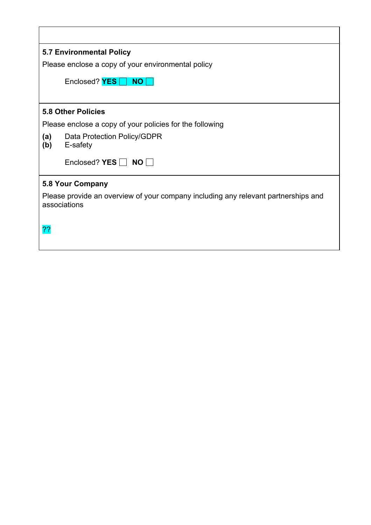| <b>5.7 Environmental Policy</b>                                                                    |
|----------------------------------------------------------------------------------------------------|
| Please enclose a copy of your environmental policy                                                 |
| Enclosed? $YES \Box$<br>NO                                                                         |
|                                                                                                    |
| <b>5.8 Other Policies</b>                                                                          |
| Please enclose a copy of your policies for the following                                           |
| Data Protection Policy/GDPR<br>(a)<br>(b)<br>E-safety                                              |
| Enclosed? YES $\Box$ NO $\Box$                                                                     |
| <b>5.8 Your Company</b>                                                                            |
| Please provide an overview of your company including any relevant partnerships and<br>associations |
| ??                                                                                                 |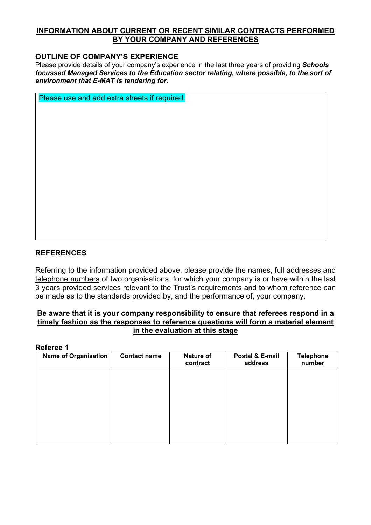#### **INFORMATION ABOUT CURRENT OR RECENT SIMILAR CONTRACTS PERFORMED BY YOUR COMPANY AND REFERENCES**

#### **OUTLINE OF COMPANY'S EXPERIENCE**

Please provide details of your company's experience in the last three years of providing *Schools focussed Managed Services to the Education sector relating, where possible, to the sort of environment that E-MAT is tendering for.*

Please use and add extra sheets if required.

### **REFERENCES**

Referring to the information provided above, please provide the names, full addresses and telephone numbers of two organisations, for which your company is or have within the last 3 years provided services relevant to the Trust's requirements and to whom reference can be made as to the standards provided by, and the performance of, your company.

#### **Be aware that it is your company responsibility to ensure that referees respond in a timely fashion as the responses to reference questions will form a material element in the evaluation at this stage**

#### **Referee 1**

| <b>Contact name</b> | <b>Nature of</b><br>contract | Postal & E-mail<br>address | <b>Telephone</b><br>number |
|---------------------|------------------------------|----------------------------|----------------------------|
|                     |                              |                            |                            |
|                     |                              |                            |                            |
|                     |                              |                            |                            |
|                     |                              |                            |                            |
|                     |                              |                            |                            |
|                     |                              |                            |                            |